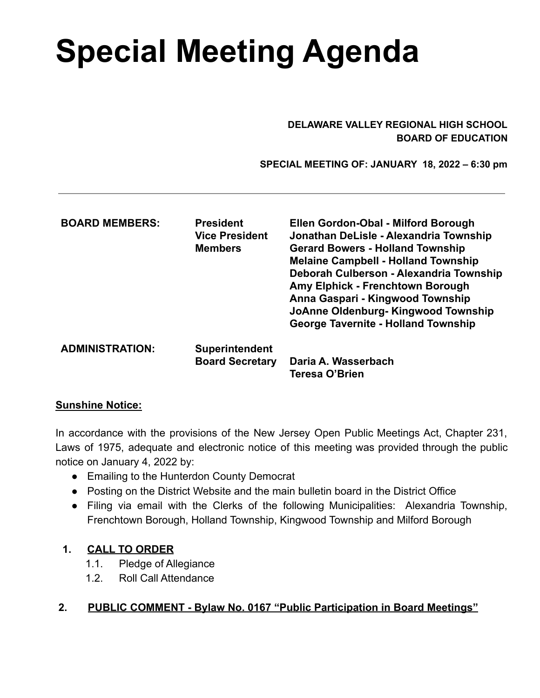# **Special Meeting Agenda**

#### **DELAWARE VALLEY REGIONAL HIGH SCHOOL BOARD OF EDUCATION**

 **SPECIAL MEETING OF: JANUARY 18, 2022 – 6:30 pm**

| <b>BOARD MEMBERS:</b>  | <b>President</b><br>Vice President<br><b>Members</b> | Ellen Gordon-Obal - Milford Borough<br>Jonathan DeLisle - Alexandria Township<br><b>Gerard Bowers - Holland Township</b><br><b>Melaine Campbell - Holland Township</b><br>Deborah Culberson - Alexandria Township<br>Amy Elphick - Frenchtown Borough<br>Anna Gaspari - Kingwood Township<br>JoAnne Oldenburg-Kingwood Township<br><b>George Tavernite - Holland Township</b> |
|------------------------|------------------------------------------------------|-------------------------------------------------------------------------------------------------------------------------------------------------------------------------------------------------------------------------------------------------------------------------------------------------------------------------------------------------------------------------------|
| <b>ADMINISTRATION:</b> | <b>Superintendent</b>                                |                                                                                                                                                                                                                                                                                                                                                                               |
|                        | <b>Board Secretary</b>                               | Daria A. Wasserbach                                                                                                                                                                                                                                                                                                                                                           |
|                        |                                                      | <b>Teresa O'Brien</b>                                                                                                                                                                                                                                                                                                                                                         |

## **Sunshine Notice:**

In accordance with the provisions of the New Jersey Open Public Meetings Act, Chapter 231, Laws of 1975, adequate and electronic notice of this meeting was provided through the public notice on January 4, 2022 by:

- Emailing to the Hunterdon County Democrat
- Posting on the District Website and the main bulletin board in the District Office
- Filing via email with the Clerks of the following Municipalities: Alexandria Township, Frenchtown Borough, Holland Township, Kingwood Township and Milford Borough

# **1. CALL TO ORDER**

- 1.1. Pledge of Allegiance
- 1.2. Roll Call Attendance

# **2. PUBLIC COMMENT - Bylaw No. 0167 "Public Participation in Board Meetings"**